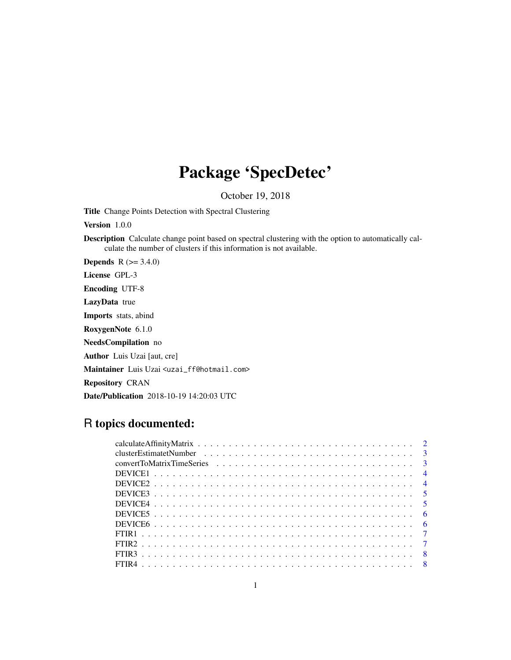# Package 'SpecDetec'

October 19, 2018

Title Change Points Detection with Spectral Clustering

Version 1.0.0

Description Calculate change point based on spectral clustering with the option to automatically calculate the number of clusters if this information is not available.

**Depends**  $R (=3.4.0)$ 

License GPL-3

Encoding UTF-8

LazyData true

Imports stats, abind

RoxygenNote 6.1.0

NeedsCompilation no

Author Luis Uzai [aut, cre]

Maintainer Luis Uzai <uzai\_ff@hotmail.com>

Repository CRAN

Date/Publication 2018-10-19 14:20:03 UTC

## R topics documented:

| - 6 |  |
|-----|--|
|     |  |
|     |  |
|     |  |
|     |  |
|     |  |
|     |  |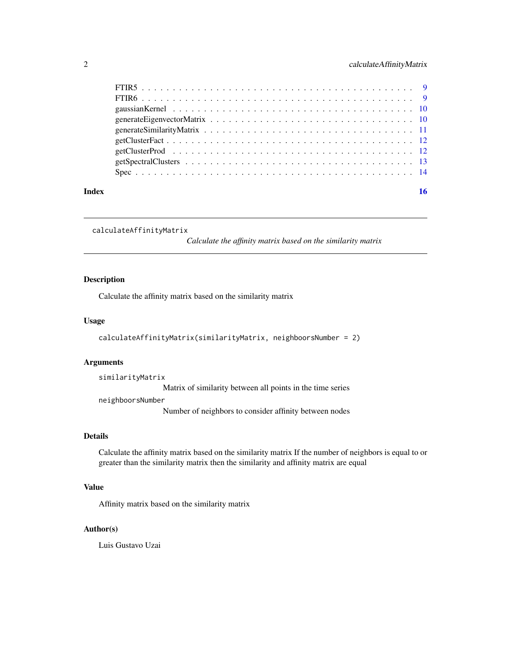<span id="page-1-0"></span>

|       | gaussian Kernel $\ldots \ldots \ldots \ldots \ldots \ldots \ldots \ldots \ldots \ldots \ldots \ldots \ldots$ |  |  |  |  |  |  |  |  |  |  |  |  |  |  |    |
|-------|--------------------------------------------------------------------------------------------------------------|--|--|--|--|--|--|--|--|--|--|--|--|--|--|----|
|       |                                                                                                              |  |  |  |  |  |  |  |  |  |  |  |  |  |  |    |
|       |                                                                                                              |  |  |  |  |  |  |  |  |  |  |  |  |  |  |    |
|       |                                                                                                              |  |  |  |  |  |  |  |  |  |  |  |  |  |  |    |
|       |                                                                                                              |  |  |  |  |  |  |  |  |  |  |  |  |  |  |    |
|       |                                                                                                              |  |  |  |  |  |  |  |  |  |  |  |  |  |  |    |
|       |                                                                                                              |  |  |  |  |  |  |  |  |  |  |  |  |  |  |    |
| Index |                                                                                                              |  |  |  |  |  |  |  |  |  |  |  |  |  |  | 16 |

```
calculateAffinityMatrix
```
*Calculate the affinity matrix based on the similarity matrix*

#### Description

Calculate the affinity matrix based on the similarity matrix

#### Usage

```
calculateAffinityMatrix(similarityMatrix, neighboorsNumber = 2)
```
#### Arguments

similarityMatrix

Matrix of similarity between all points in the time series

neighboorsNumber

Number of neighbors to consider affinity between nodes

#### Details

Calculate the affinity matrix based on the similarity matrix If the number of neighbors is equal to or greater than the similarity matrix then the similarity and affinity matrix are equal

#### Value

Affinity matrix based on the similarity matrix

#### Author(s)

Luis Gustavo Uzai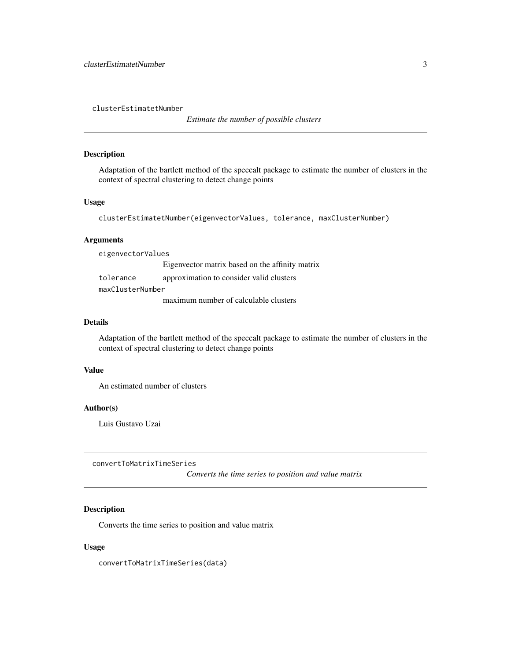<span id="page-2-0"></span>clusterEstimatetNumber

*Estimate the number of possible clusters*

#### Description

Adaptation of the bartlett method of the speccalt package to estimate the number of clusters in the context of spectral clustering to detect change points

#### Usage

```
clusterEstimatetNumber(eigenvectorValues, tolerance, maxClusterNumber)
```
#### Arguments

eigenvectorValues

|                  | Eigenvector matrix based on the affinity matrix |
|------------------|-------------------------------------------------|
| tolerance        | approximation to consider valid clusters        |
| maxClusterNumber |                                                 |
|                  | maximum number of calculable clusters           |

#### Details

Adaptation of the bartlett method of the speccalt package to estimate the number of clusters in the context of spectral clustering to detect change points

#### Value

An estimated number of clusters

#### Author(s)

Luis Gustavo Uzai

convertToMatrixTimeSeries

*Converts the time series to position and value matrix*

#### Description

Converts the time series to position and value matrix

#### Usage

convertToMatrixTimeSeries(data)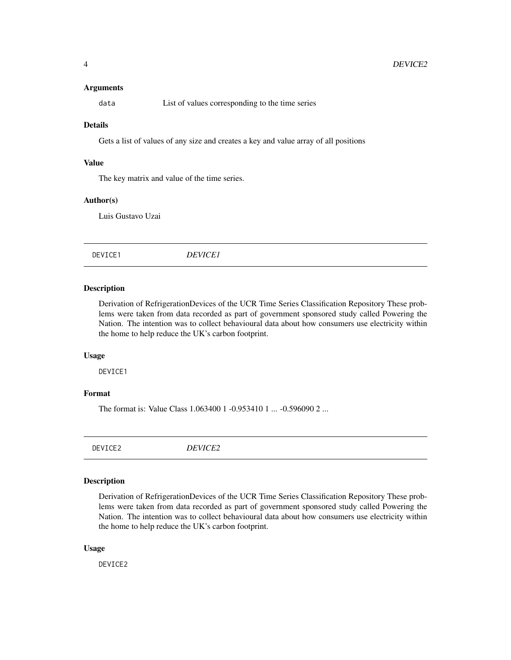#### Arguments

<span id="page-3-0"></span>

data List of values corresponding to the time series

#### Details

Gets a list of values of any size and creates a key and value array of all positions

#### Value

The key matrix and value of the time series.

#### Author(s)

Luis Gustavo Uzai

DEVICE1 *DEVICE1*

#### Description

Derivation of RefrigerationDevices of the UCR Time Series Classification Repository These problems were taken from data recorded as part of government sponsored study called Powering the Nation. The intention was to collect behavioural data about how consumers use electricity within the home to help reduce the UK's carbon footprint.

#### Usage

DEVICE1

#### Format

The format is: Value Class 1.063400 1 -0.953410 1 ... -0.596090 2 ...

DEVICE2 *DEVICE2*

#### Description

Derivation of RefrigerationDevices of the UCR Time Series Classification Repository These problems were taken from data recorded as part of government sponsored study called Powering the Nation. The intention was to collect behavioural data about how consumers use electricity within the home to help reduce the UK's carbon footprint.

#### Usage

DEVICE2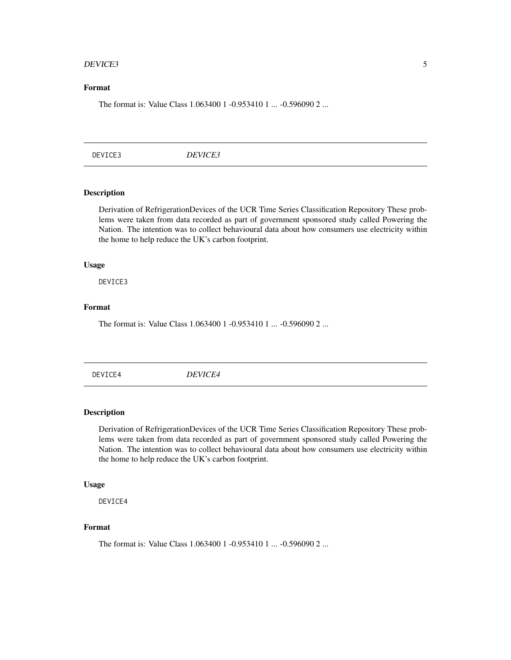#### <span id="page-4-0"></span>DEVICE3 5

#### Format

The format is: Value Class 1.063400 1 -0.953410 1 ... -0.596090 2 ...

DEVICE3 *DEVICE3*

#### Description

Derivation of RefrigerationDevices of the UCR Time Series Classification Repository These problems were taken from data recorded as part of government sponsored study called Powering the Nation. The intention was to collect behavioural data about how consumers use electricity within the home to help reduce the UK's carbon footprint.

#### Usage

DEVICE3

### Format

The format is: Value Class 1.063400 1 -0.953410 1 ... -0.596090 2 ...

DEVICE4 *DEVICE4*

#### Description

Derivation of RefrigerationDevices of the UCR Time Series Classification Repository These problems were taken from data recorded as part of government sponsored study called Powering the Nation. The intention was to collect behavioural data about how consumers use electricity within the home to help reduce the UK's carbon footprint.

#### Usage

DEVICE4

#### Format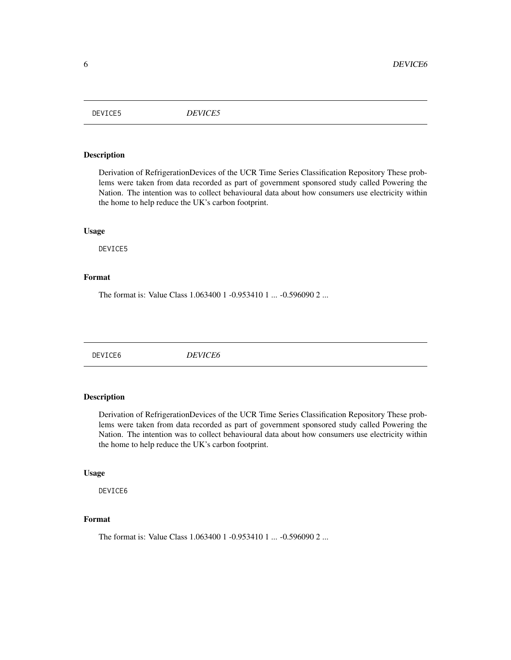<span id="page-5-0"></span>DEVICE5 *DEVICE5*

#### Description

Derivation of RefrigerationDevices of the UCR Time Series Classification Repository These problems were taken from data recorded as part of government sponsored study called Powering the Nation. The intention was to collect behavioural data about how consumers use electricity within the home to help reduce the UK's carbon footprint.

#### Usage

DEVICE5

#### Format

The format is: Value Class 1.063400 1 -0.953410 1 ... -0.596090 2 ...

DEVICE6 *DEVICE6*

#### Description

Derivation of RefrigerationDevices of the UCR Time Series Classification Repository These problems were taken from data recorded as part of government sponsored study called Powering the Nation. The intention was to collect behavioural data about how consumers use electricity within the home to help reduce the UK's carbon footprint.

#### Usage

DEVICE6

#### Format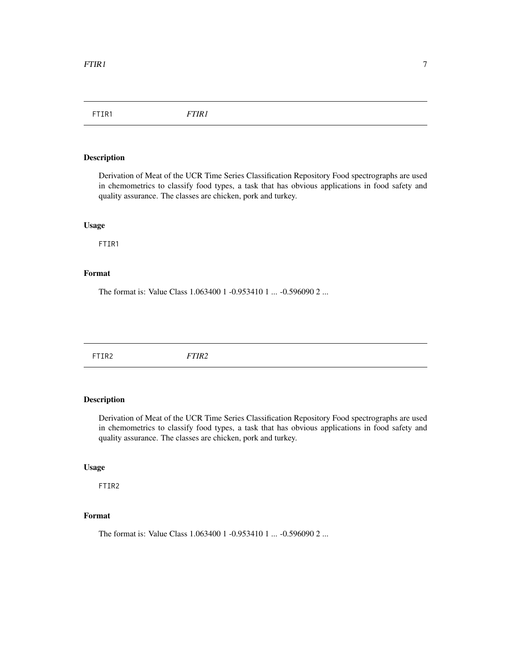<span id="page-6-0"></span>FTIR1 *FTIR1*

#### Description

Derivation of Meat of the UCR Time Series Classification Repository Food spectrographs are used in chemometrics to classify food types, a task that has obvious applications in food safety and quality assurance. The classes are chicken, pork and turkey.

#### Usage

FTIR1

#### Format

The format is: Value Class 1.063400 1 -0.953410 1 ... -0.596090 2 ...

FTIR2 *FTIR2*

#### Description

Derivation of Meat of the UCR Time Series Classification Repository Food spectrographs are used in chemometrics to classify food types, a task that has obvious applications in food safety and quality assurance. The classes are chicken, pork and turkey.

#### Usage

FTIR2

### Format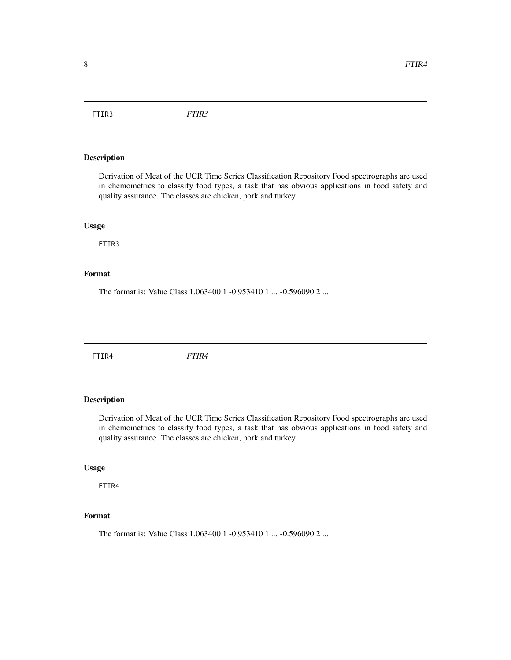<span id="page-7-0"></span>FTIR3 *FTIR3*

#### Description

Derivation of Meat of the UCR Time Series Classification Repository Food spectrographs are used in chemometrics to classify food types, a task that has obvious applications in food safety and quality assurance. The classes are chicken, pork and turkey.

#### Usage

FTIR3

#### Format

The format is: Value Class 1.063400 1 -0.953410 1 ... -0.596090 2 ...

FTIR4 *FTIR4*

#### Description

Derivation of Meat of the UCR Time Series Classification Repository Food spectrographs are used in chemometrics to classify food types, a task that has obvious applications in food safety and quality assurance. The classes are chicken, pork and turkey.

#### Usage

FTIR4

#### Format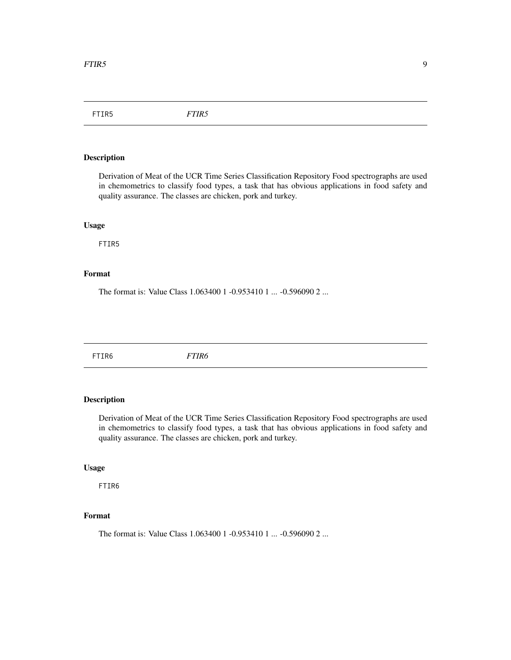<span id="page-8-0"></span>FTIR5 *FTIR5*

#### Description

Derivation of Meat of the UCR Time Series Classification Repository Food spectrographs are used in chemometrics to classify food types, a task that has obvious applications in food safety and quality assurance. The classes are chicken, pork and turkey.

#### Usage

FTIR5

#### Format

The format is: Value Class 1.063400 1 -0.953410 1 ... -0.596090 2 ...

FTIR6 *FTIR6*

#### Description

Derivation of Meat of the UCR Time Series Classification Repository Food spectrographs are used in chemometrics to classify food types, a task that has obvious applications in food safety and quality assurance. The classes are chicken, pork and turkey.

#### Usage

FTIR6

### Format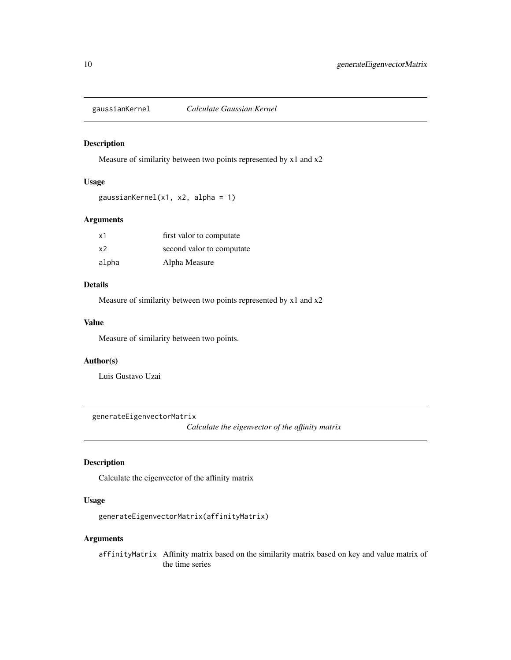<span id="page-9-0"></span>

#### Description

Measure of similarity between two points represented by x1 and x2

#### Usage

```
gaussianKernel(x1, x2, alpha = 1)
```
#### Arguments

| x1    | first valor to computate  |
|-------|---------------------------|
| x2    | second valor to computate |
| alpha | Alpha Measure             |

### Details

Measure of similarity between two points represented by x1 and x2

#### Value

Measure of similarity between two points.

#### Author(s)

Luis Gustavo Uzai

generateEigenvectorMatrix

*Calculate the eigenvector of the affinity matrix*

#### Description

Calculate the eigenvector of the affinity matrix

#### Usage

```
generateEigenvectorMatrix(affinityMatrix)
```
#### Arguments

affinityMatrix Affinity matrix based on the similarity matrix based on key and value matrix of the time series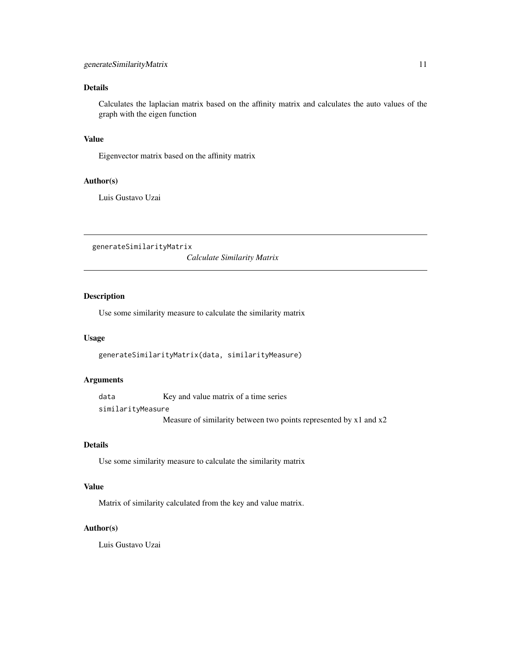#### <span id="page-10-0"></span>Details

Calculates the laplacian matrix based on the affinity matrix and calculates the auto values of the graph with the eigen function

#### Value

Eigenvector matrix based on the affinity matrix

### Author(s)

Luis Gustavo Uzai

generateSimilarityMatrix

*Calculate Similarity Matrix*

#### Description

Use some similarity measure to calculate the similarity matrix

#### Usage

```
generateSimilarityMatrix(data, similarityMeasure)
```
#### Arguments

data Key and value matrix of a time series similarityMeasure

Measure of similarity between two points represented by x1 and x2

#### Details

Use some similarity measure to calculate the similarity matrix

#### Value

Matrix of similarity calculated from the key and value matrix.

#### Author(s)

Luis Gustavo Uzai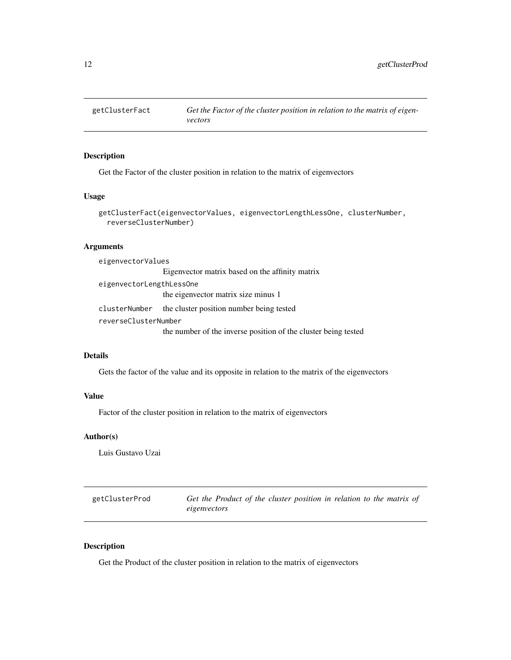<span id="page-11-0"></span>

#### Description

Get the Factor of the cluster position in relation to the matrix of eigenvectors

#### Usage

```
getClusterFact(eigenvectorValues, eigenvectorLengthLessOne, clusterNumber,
  reverseClusterNumber)
```
#### Arguments

| eigenvectorValues        |                                                                |  |  |  |  |  |
|--------------------------|----------------------------------------------------------------|--|--|--|--|--|
|                          | Eigenvector matrix based on the affinity matrix                |  |  |  |  |  |
| eigenvectorLengthLessOne |                                                                |  |  |  |  |  |
|                          | the eigenvector matrix size minus 1                            |  |  |  |  |  |
| clusterNumber            | the cluster position number being tested                       |  |  |  |  |  |
| reverseClusterNumber     |                                                                |  |  |  |  |  |
|                          | the number of the inverse position of the cluster being tested |  |  |  |  |  |

#### Details

Gets the factor of the value and its opposite in relation to the matrix of the eigenvectors

#### Value

Factor of the cluster position in relation to the matrix of eigenvectors

#### Author(s)

Luis Gustavo Uzai

getClusterProd *Get the Product of the cluster position in relation to the matrix of eigenvectors*

#### Description

Get the Product of the cluster position in relation to the matrix of eigenvectors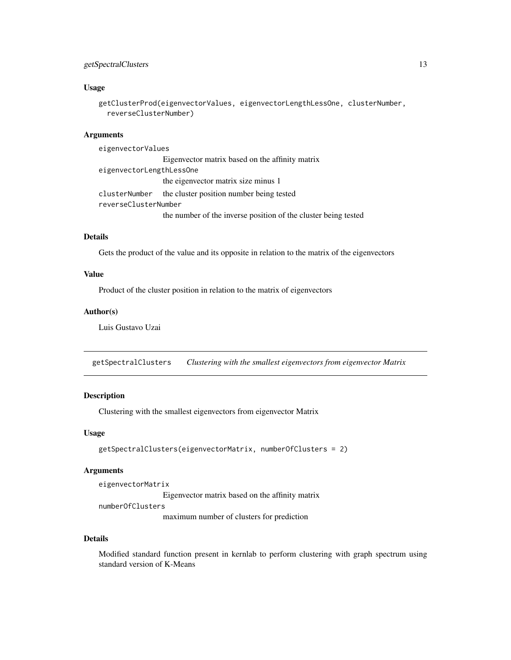#### <span id="page-12-0"></span>getSpectralClusters 13

#### Usage

```
getClusterProd(eigenvectorValues, eigenvectorLengthLessOne, clusterNumber,
  reverseClusterNumber)
```
#### Arguments

eigenvectorValues Eigenvector matrix based on the affinity matrix eigenvectorLengthLessOne the eigenvector matrix size minus 1 clusterNumber the cluster position number being tested reverseClusterNumber the number of the inverse position of the cluster being tested

#### Details

Gets the product of the value and its opposite in relation to the matrix of the eigenvectors

#### Value

Product of the cluster position in relation to the matrix of eigenvectors

#### Author(s)

Luis Gustavo Uzai

getSpectralClusters *Clustering with the smallest eigenvectors from eigenvector Matrix*

#### Description

Clustering with the smallest eigenvectors from eigenvector Matrix

#### Usage

```
getSpectralClusters(eigenvectorMatrix, numberOfClusters = 2)
```
#### **Arguments**

eigenvectorMatrix

Eigenvector matrix based on the affinity matrix

numberOfClusters

maximum number of clusters for prediction

#### Details

Modified standard function present in kernlab to perform clustering with graph spectrum using standard version of K-Means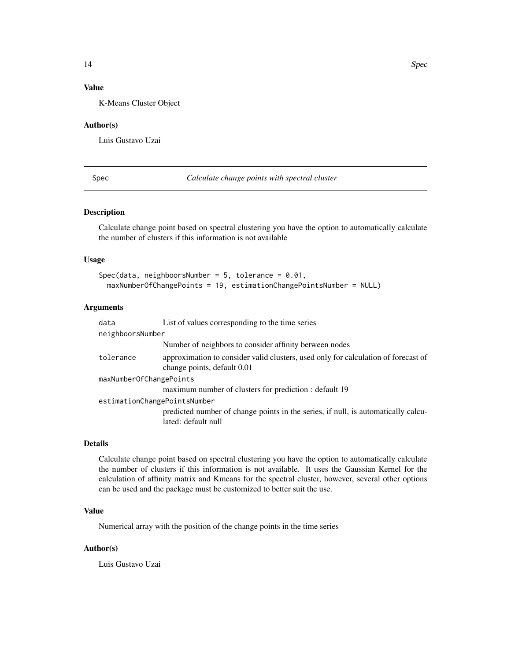#### <span id="page-13-0"></span>Value

K-Means Cluster Object

#### Author(s)

Luis Gustavo Uzai

Spec *Calculate change points with spectral cluster*

#### Description

Calculate change point based on spectral clustering you have the option to automatically calculate the number of clusters if this information is not available

#### Usage

```
Spec(data, neighboorsNumber = 5, tolerance = 0.01,
 maxNumberOfChangePoints = 19, estimationChangePointsNumber = NULL)
```
#### Arguments

| data                         | List of values corresponding to the time series                                                                   |
|------------------------------|-------------------------------------------------------------------------------------------------------------------|
| neighboorsNumber             |                                                                                                                   |
|                              | Number of neighbors to consider affinity between nodes                                                            |
| tolerance                    | approximation to consider valid clusters, used only for calculation of forecast of<br>change points, default 0.01 |
| maxNumberOfChangePoints      |                                                                                                                   |
|                              | maximum number of clusters for prediction : default 19                                                            |
| estimationChangePointsNumber |                                                                                                                   |
|                              | predicted number of change points in the series, if null, is automatically calcu-<br>lated: default null          |

#### Details

Calculate change point based on spectral clustering you have the option to automatically calculate the number of clusters if this information is not available. It uses the Gaussian Kernel for the calculation of affinity matrix and Kmeans for the spectral cluster, however, several other options can be used and the package must be customized to better suit the use.

#### Value

Numerical array with the position of the change points in the time series

#### Author(s)

Luis Gustavo Uzai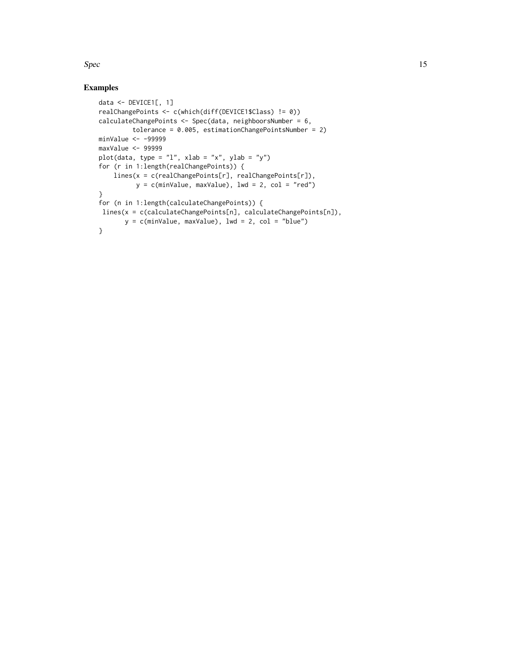$Spec$  15

#### Examples

```
data <- DEVICE1[, 1]
realChangePoints <- c(which(diff(DEVICE1$Class) != 0))
calculateChangePoints <- Spec(data, neighboorsNumber = 6,
        tolerance = 0.005, estimationChangePointsNumber = 2)
minValue <- -99999
maxValue <- 99999
plot(data, type = "l", xlab = "x", ylab = "y")
for (r in 1:length(realChangePoints)) {
   lines(x = c(realChangePoints[r], realChangePoints[r]),
         y = c(minValue, maxValue), 1wd = 2, col = "red")}
for (n in 1:length(calculateChangePoints)) {
lines(x = c(calculateChangePoints[n], calculateChangePoints[n]),
      y = c(minValue, maxValue), 1wd = 2, col = "blue")}
```